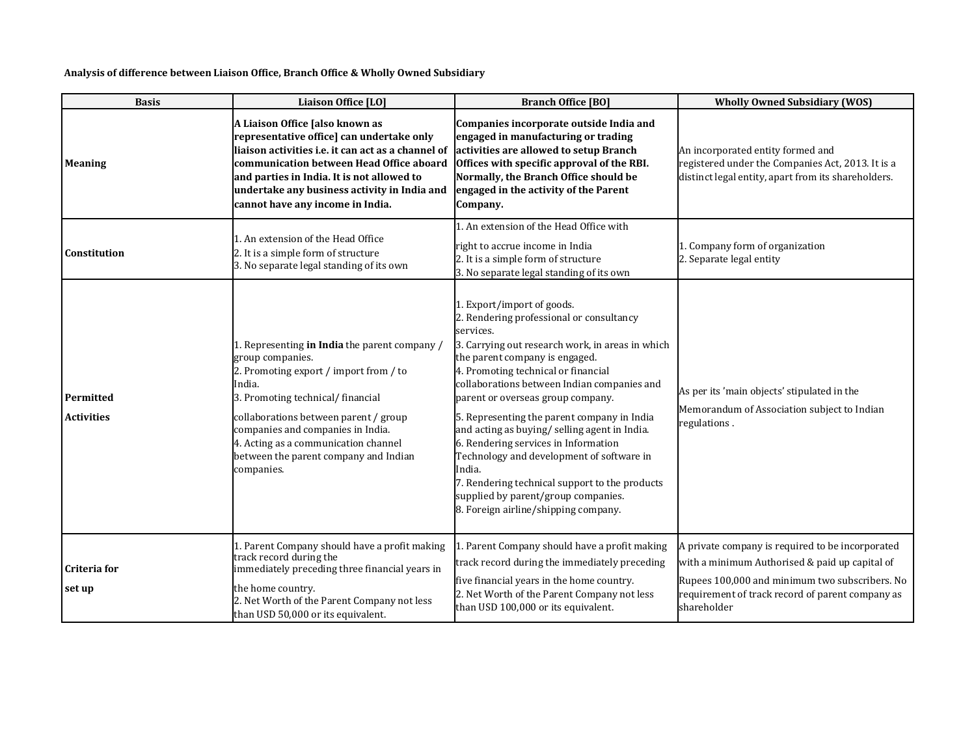## **Analysis of difference between Liaison Office, Branch Office & Wholly Owned Subsidiary**

| <b>Basis</b>                   | Liaison Office [LO]                                                                                                                                                                                                                                                                                                                     | <b>Branch Office [BO]</b>                                                                                                                                                                                                                                                                                                                                                                                                                                                                                                                                                                                                            | <b>Wholly Owned Subsidiary (WOS)</b>                                                                                                                                                                                    |
|--------------------------------|-----------------------------------------------------------------------------------------------------------------------------------------------------------------------------------------------------------------------------------------------------------------------------------------------------------------------------------------|--------------------------------------------------------------------------------------------------------------------------------------------------------------------------------------------------------------------------------------------------------------------------------------------------------------------------------------------------------------------------------------------------------------------------------------------------------------------------------------------------------------------------------------------------------------------------------------------------------------------------------------|-------------------------------------------------------------------------------------------------------------------------------------------------------------------------------------------------------------------------|
| <b>Meaning</b>                 | A Liaison Office [also known as<br>representative office] can undertake only<br>liaison activities i.e. it can act as a channel of<br>communication between Head Office aboard<br>and parties in India. It is not allowed to<br>undertake any business activity in India and<br>cannot have any income in India.                        | Companies incorporate outside India and<br>engaged in manufacturing or trading<br>activities are allowed to setup Branch<br>Offices with specific approval of the RBI.<br>Normally, the Branch Office should be<br>engaged in the activity of the Parent<br>Company.                                                                                                                                                                                                                                                                                                                                                                 | An incorporated entity formed and<br>registered under the Companies Act, 2013. It is a<br>distinct legal entity, apart from its shareholders.                                                                           |
| Constitution                   | 1. An extension of the Head Office<br>2. It is a simple form of structure<br>3. No separate legal standing of its own                                                                                                                                                                                                                   | 1. An extension of the Head Office with<br>right to accrue income in India<br>2. It is a simple form of structure<br>3. No separate legal standing of its own                                                                                                                                                                                                                                                                                                                                                                                                                                                                        | 1. Company form of organization<br>2. Separate legal entity                                                                                                                                                             |
| Permitted<br><b>Activities</b> | 1. Representing in India the parent company /<br>group companies.<br>2. Promoting export / import from / to<br>India.<br>3. Promoting technical/ financial<br>collaborations between parent / group<br>companies and companies in India.<br>4. Acting as a communication channel<br>between the parent company and Indian<br>companies. | 1. Export/import of goods.<br>2. Rendering professional or consultancy<br>services.<br>3. Carrying out research work, in areas in which<br>the parent company is engaged.<br>4. Promoting technical or financial<br>collaborations between Indian companies and<br>parent or overseas group company.<br>5. Representing the parent company in India<br>and acting as buying/ selling agent in India.<br>6. Rendering services in Information<br>Technology and development of software in<br>India.<br>7. Rendering technical support to the products<br>supplied by parent/group companies.<br>8. Foreign airline/shipping company. | As per its 'main objects' stipulated in the<br>Memorandum of Association subject to Indian<br>regulations.                                                                                                              |
| Criteria for<br>set up         | 1. Parent Company should have a profit making<br>track record during the<br>immediately preceding three financial years in<br>the home country.<br>2. Net Worth of the Parent Company not less<br>than USD 50,000 or its equivalent.                                                                                                    | 1. Parent Company should have a profit making<br>track record during the immediately preceding<br>five financial years in the home country.<br>2. Net Worth of the Parent Company not less<br>than USD 100,000 or its equivalent.                                                                                                                                                                                                                                                                                                                                                                                                    | A private company is required to be incorporated<br>with a minimum Authorised & paid up capital of<br>Rupees 100,000 and minimum two subscribers. No<br>requirement of track record of parent company as<br>shareholder |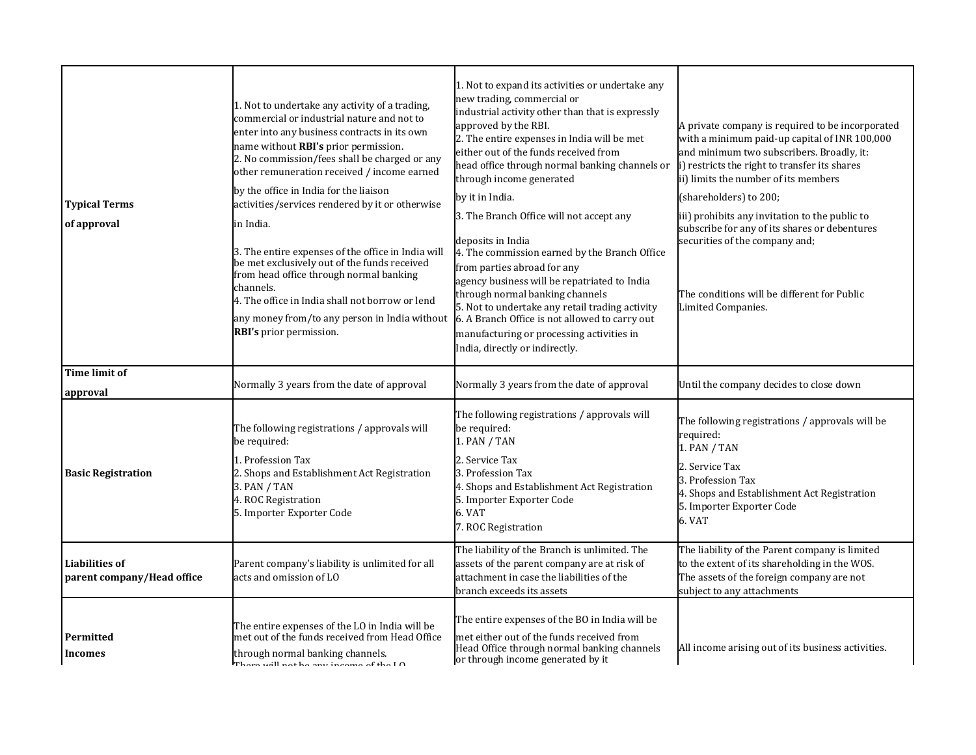| <b>Typical Terms</b><br>of approval                 | 1. Not to undertake any activity of a trading,<br>commercial or industrial nature and not to<br>enter into any business contracts in its own<br>name without RBI's prior permission.<br>2. No commission/fees shall be charged or any<br>other remuneration received / income earned<br>by the office in India for the liaison<br>activities/services rendered by it or otherwise<br>in India.<br>3. The entire expenses of the office in India will<br>be met exclusively out of the funds received<br>from head office through normal banking<br>channels.<br>4. The office in India shall not borrow or lend<br>any money from/to any person in India without<br>RBI's prior permission. | 1. Not to expand its activities or undertake any<br>new trading, commercial or<br>industrial activity other than that is expressly<br>approved by the RBI.<br>2. The entire expenses in India will be met<br>either out of the funds received from<br>head office through normal banking channels or<br>through income generated<br>by it in India.<br>3. The Branch Office will not accept any<br>deposits in India<br>4. The commission earned by the Branch Office<br>from parties abroad for any<br>agency business will be repatriated to India<br>through normal banking channels<br>5. Not to undertake any retail trading activity<br>6. A Branch Office is not allowed to carry out<br>manufacturing or processing activities in<br>India, directly or indirectly. | A private company is required to be incorporated<br>with a minimum paid-up capital of INR 100,000<br>and minimum two subscribers. Broadly, it:<br>i) restricts the right to transfer its shares<br>ii) limits the number of its members<br>(shareholders) to 200;<br>iii) prohibits any invitation to the public to<br>subscribe for any of its shares or debentures<br>securities of the company and;<br>The conditions will be different for Public<br>Limited Companies. |
|-----------------------------------------------------|---------------------------------------------------------------------------------------------------------------------------------------------------------------------------------------------------------------------------------------------------------------------------------------------------------------------------------------------------------------------------------------------------------------------------------------------------------------------------------------------------------------------------------------------------------------------------------------------------------------------------------------------------------------------------------------------|-----------------------------------------------------------------------------------------------------------------------------------------------------------------------------------------------------------------------------------------------------------------------------------------------------------------------------------------------------------------------------------------------------------------------------------------------------------------------------------------------------------------------------------------------------------------------------------------------------------------------------------------------------------------------------------------------------------------------------------------------------------------------------|-----------------------------------------------------------------------------------------------------------------------------------------------------------------------------------------------------------------------------------------------------------------------------------------------------------------------------------------------------------------------------------------------------------------------------------------------------------------------------|
| <b>Time limit of</b><br>approval                    | Normally 3 years from the date of approval                                                                                                                                                                                                                                                                                                                                                                                                                                                                                                                                                                                                                                                  | Normally 3 years from the date of approval                                                                                                                                                                                                                                                                                                                                                                                                                                                                                                                                                                                                                                                                                                                                  | Until the company decides to close down                                                                                                                                                                                                                                                                                                                                                                                                                                     |
| <b>Basic Registration</b>                           | The following registrations / approvals will<br>be required:<br>1. Profession Tax<br>2. Shops and Establishment Act Registration<br>3. PAN / TAN<br>4. ROC Registration<br>5. Importer Exporter Code                                                                                                                                                                                                                                                                                                                                                                                                                                                                                        | The following registrations / approvals will<br>be required:<br>1. PAN / TAN<br>2. Service Tax<br>3. Profession Tax<br>4. Shops and Establishment Act Registration<br>5. Importer Exporter Code<br>6. VAT<br>7. ROC Registration                                                                                                                                                                                                                                                                                                                                                                                                                                                                                                                                            | The following registrations / approvals will be<br>required:<br>1. PAN / TAN<br>2. Service Tax<br>3. Profession Tax<br>4. Shops and Establishment Act Registration<br>5. Importer Exporter Code<br>6. VAT                                                                                                                                                                                                                                                                   |
| <b>Liabilities of</b><br>parent company/Head office | Parent company's liability is unlimited for all<br>acts and omission of LO                                                                                                                                                                                                                                                                                                                                                                                                                                                                                                                                                                                                                  | The liability of the Branch is unlimited. The<br>assets of the parent company are at risk of<br>attachment in case the liabilities of the<br>branch exceeds its assets                                                                                                                                                                                                                                                                                                                                                                                                                                                                                                                                                                                                      | The liability of the Parent company is limited<br>to the extent of its shareholding in the WOS.<br>The assets of the foreign company are not<br>subject to any attachments                                                                                                                                                                                                                                                                                                  |
| Permitted<br><b>Incomes</b>                         | The entire expenses of the LO in India will be<br>met out of the funds received from Head Office<br>through normal banking channels.<br>Than $u$ ill not he any income of the $I \cap$                                                                                                                                                                                                                                                                                                                                                                                                                                                                                                      | The entire expenses of the BO in India will be<br>met either out of the funds received from<br>Head Office through normal banking channels<br>or through income generated by it                                                                                                                                                                                                                                                                                                                                                                                                                                                                                                                                                                                             | All income arising out of its business activities.                                                                                                                                                                                                                                                                                                                                                                                                                          |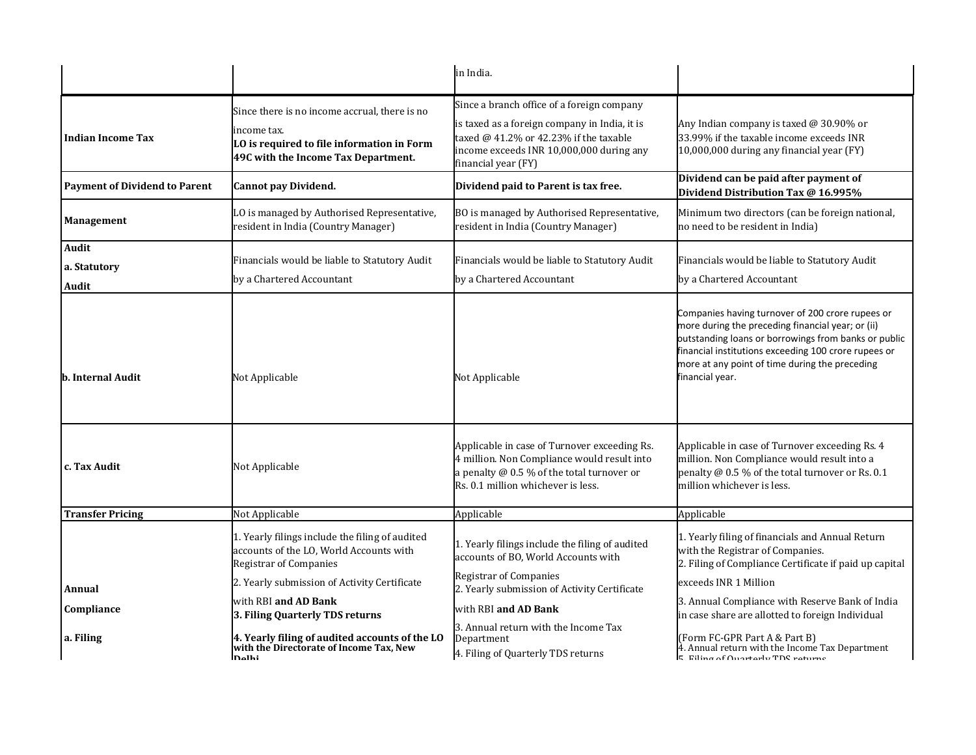|                                      |                                                                                                                                                   | in India.                                                                                                                                                                                                  |                                                                                                                                                                                                                                                                                          |
|--------------------------------------|---------------------------------------------------------------------------------------------------------------------------------------------------|------------------------------------------------------------------------------------------------------------------------------------------------------------------------------------------------------------|------------------------------------------------------------------------------------------------------------------------------------------------------------------------------------------------------------------------------------------------------------------------------------------|
| <b>Indian Income Tax</b>             | Since there is no income accrual, there is no<br>income tax.<br>LO is required to file information in Form<br>49C with the Income Tax Department. | Since a branch office of a foreign company<br>is taxed as a foreign company in India, it is<br>taxed $@$ 41.2% or 42.23% if the taxable<br>income exceeds INR 10,000,000 during any<br>financial year (FY) | Any Indian company is taxed @ 30.90% or<br>33.99% if the taxable income exceeds INR<br>10,000,000 during any financial year (FY)                                                                                                                                                         |
| <b>Payment of Dividend to Parent</b> | <b>Cannot pay Dividend.</b>                                                                                                                       | Dividend paid to Parent is tax free.                                                                                                                                                                       | Dividend can be paid after payment of<br>Dividend Distribution Tax @ 16.995%                                                                                                                                                                                                             |
| <b>Management</b>                    | LO is managed by Authorised Representative,<br>resident in India (Country Manager)                                                                | BO is managed by Authorised Representative,<br>resident in India (Country Manager)                                                                                                                         | Minimum two directors (can be foreign national,<br>no need to be resident in India)                                                                                                                                                                                                      |
| Audit<br>a. Statutory<br>Audit       | Financials would be liable to Statutory Audit<br>by a Chartered Accountant                                                                        | Financials would be liable to Statutory Audit<br>by a Chartered Accountant                                                                                                                                 | Financials would be liable to Statutory Audit<br>by a Chartered Accountant                                                                                                                                                                                                               |
| <b>b. Internal Audit</b>             | Not Applicable                                                                                                                                    | Not Applicable                                                                                                                                                                                             | Companies having turnover of 200 crore rupees or<br>more during the preceding financial year; or (ii)<br>outstanding loans or borrowings from banks or public<br>inancial institutions exceeding 100 crore rupees or<br>more at any point of time during the preceding<br>inancial year. |
| c. Tax Audit                         | Not Applicable                                                                                                                                    | Applicable in case of Turnover exceeding Rs.<br>4 million. Non Compliance would result into<br>a penalty @ 0.5 % of the total turnover or<br>Rs. 0.1 million whichever is less.                            | Applicable in case of Turnover exceeding Rs. 4<br>million. Non Compliance would result into a<br>penalty @ 0.5 % of the total turnover or Rs. 0.1<br>million whichever is less.                                                                                                          |
| <b>Transfer Pricing</b>              | Not Applicable                                                                                                                                    | Applicable                                                                                                                                                                                                 | Applicable                                                                                                                                                                                                                                                                               |
|                                      | 1. Yearly filings include the filing of audited<br>accounts of the LO, World Accounts with<br><b>Registrar of Companies</b>                       | 1. Yearly filings include the filing of audited<br>accounts of BO, World Accounts with<br><b>Registrar of Companies</b>                                                                                    | 1. Yearly filing of financials and Annual Return<br>with the Registrar of Companies.<br>2. Filing of Compliance Certificate if paid up capital                                                                                                                                           |
| Annual                               | 2. Yearly submission of Activity Certificate                                                                                                      | 2. Yearly submission of Activity Certificate                                                                                                                                                               | exceeds INR 1 Million                                                                                                                                                                                                                                                                    |
| Compliance                           | with RBI and AD Bank<br>3. Filing Quarterly TDS returns                                                                                           | with RBI and AD Bank                                                                                                                                                                                       | 3. Annual Compliance with Reserve Bank of India<br>in case share are allotted to foreign Individual                                                                                                                                                                                      |
| a. Filing                            | 4. Yearly filing of audited accounts of the LO<br>with the Directorate of Income Tax, New<br>nalhi                                                | 3. Annual return with the Income Tax<br>Department<br>4. Filing of Quarterly TDS returns                                                                                                                   | (Form FC-GPR Part A & Part B)<br>4. Annual return with the Income Tax Department<br>$\mathsf E$ Eiling of Ouartorly TDC roturne                                                                                                                                                          |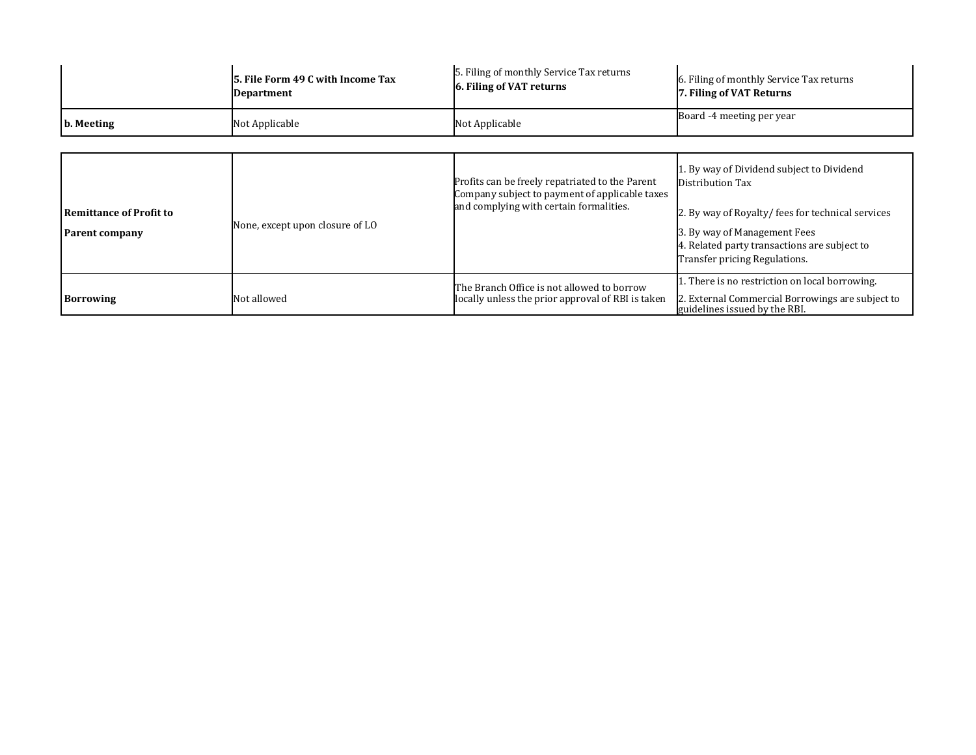|                                                  | 5. File Form 49 C with Income Tax<br><b>Department</b> | 5. Filing of monthly Service Tax returns<br>6. Filing of VAT returns                                                                         | 6. Filing of monthly Service Tax returns<br>7. Filing of VAT Returns                                                                                                                                                               |
|--------------------------------------------------|--------------------------------------------------------|----------------------------------------------------------------------------------------------------------------------------------------------|------------------------------------------------------------------------------------------------------------------------------------------------------------------------------------------------------------------------------------|
| b. Meeting                                       | Not Applicable                                         | Not Applicable                                                                                                                               | Board -4 meeting per year                                                                                                                                                                                                          |
| <b>Remittance of Profit to</b><br>Parent company | None, except upon closure of LO                        | Profits can be freely repatriated to the Parent<br>Company subject to payment of applicable taxes<br>and complying with certain formalities. | 1. By way of Dividend subject to Dividend<br>Distribution Tax<br>2. By way of Royalty/fees for technical services<br>3. By way of Management Fees<br>4. Related party transactions are subject to<br>Transfer pricing Regulations. |
| <b>Borrowing</b>                                 | Not allowed                                            | The Branch Office is not allowed to borrow<br>locally unless the prior approval of RBI is taken                                              | 1. There is no restriction on local borrowing.<br>2. External Commercial Borrowings are subject to<br>guidelines issued by the RBI.                                                                                                |